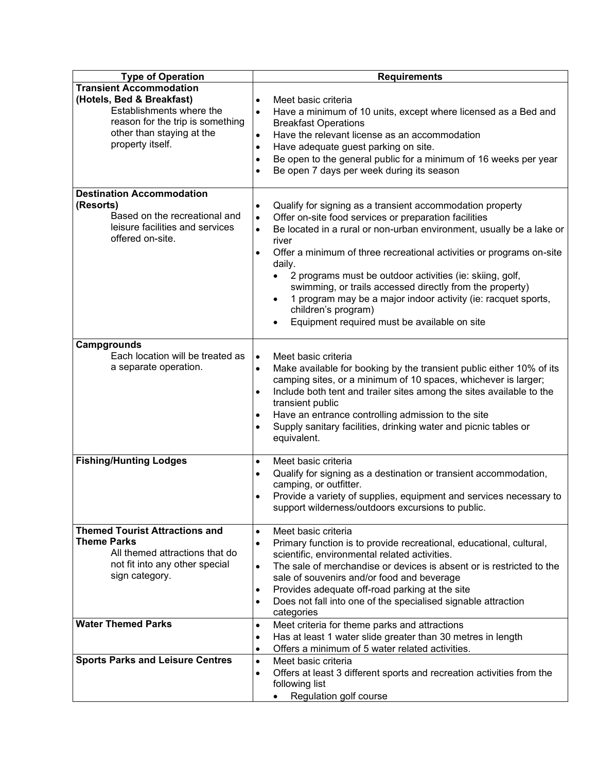| <b>Type of Operation</b>                | <b>Requirements</b>                                                                        |
|-----------------------------------------|--------------------------------------------------------------------------------------------|
| <b>Transient Accommodation</b>          |                                                                                            |
| (Hotels, Bed & Breakfast)               | Meet basic criteria<br>$\bullet$                                                           |
| Establishments where the                | Have a minimum of 10 units, except where licensed as a Bed and<br>$\bullet$                |
| reason for the trip is something        | <b>Breakfast Operations</b>                                                                |
| other than staying at the               | Have the relevant license as an accommodation<br>$\bullet$                                 |
| property itself.                        | Have adequate guest parking on site.<br>$\bullet$                                          |
|                                         | Be open to the general public for a minimum of 16 weeks per year<br>$\bullet$              |
|                                         | Be open 7 days per week during its season<br>$\bullet$                                     |
|                                         |                                                                                            |
| <b>Destination Accommodation</b>        |                                                                                            |
| (Resorts)                               | Qualify for signing as a transient accommodation property<br>$\bullet$                     |
| Based on the recreational and           | Offer on-site food services or preparation facilities<br>$\bullet$                         |
| leisure facilities and services         | Be located in a rural or non-urban environment, usually be a lake or<br>$\bullet$          |
| offered on-site.                        | river                                                                                      |
|                                         | Offer a minimum of three recreational activities or programs on-site<br>$\bullet$          |
|                                         | daily.<br>2 programs must be outdoor activities (ie: skiing, golf,<br>$\bullet$            |
|                                         | swimming, or trails accessed directly from the property)                                   |
|                                         | 1 program may be a major indoor activity (ie: racquet sports,<br>$\bullet$                 |
|                                         | children's program)                                                                        |
|                                         | Equipment required must be available on site                                               |
|                                         |                                                                                            |
| Campgrounds                             |                                                                                            |
| Each location will be treated as        | Meet basic criteria<br>$\bullet$                                                           |
| a separate operation.                   | Make available for booking by the transient public either 10% of its<br>$\bullet$          |
|                                         | camping sites, or a minimum of 10 spaces, whichever is larger;                             |
|                                         | Include both tent and trailer sites among the sites available to the<br>$\bullet$          |
|                                         | transient public                                                                           |
|                                         | Have an entrance controlling admission to the site<br>$\bullet$                            |
|                                         | Supply sanitary facilities, drinking water and picnic tables or                            |
|                                         | equivalent.                                                                                |
| <b>Fishing/Hunting Lodges</b>           | Meet basic criteria                                                                        |
|                                         | $\bullet$                                                                                  |
|                                         | Qualify for signing as a destination or transient accommodation,<br>camping, or outfitter. |
|                                         | Provide a variety of supplies, equipment and services necessary to                         |
|                                         | support wilderness/outdoors excursions to public.                                          |
|                                         |                                                                                            |
| <b>Themed Tourist Attractions and</b>   | Meet basic criteria<br>$\bullet$                                                           |
| <b>Theme Parks</b>                      | Primary function is to provide recreational, educational, cultural,<br>$\bullet$           |
| All themed attractions that do          | scientific, environmental related activities.                                              |
| not fit into any other special          | The sale of merchandise or devices is absent or is restricted to the<br>$\bullet$          |
| sign category.                          | sale of souvenirs and/or food and beverage                                                 |
|                                         | Provides adequate off-road parking at the site<br>$\bullet$                                |
|                                         | Does not fall into one of the specialised signable attraction<br>$\bullet$                 |
|                                         | categories                                                                                 |
| <b>Water Themed Parks</b>               | Meet criteria for theme parks and attractions<br>$\bullet$                                 |
|                                         | Has at least 1 water slide greater than 30 metres in length<br>$\bullet$                   |
|                                         | Offers a minimum of 5 water related activities.<br>$\bullet$                               |
| <b>Sports Parks and Leisure Centres</b> | Meet basic criteria<br>$\bullet$                                                           |
|                                         | Offers at least 3 different sports and recreation activities from the<br>$\bullet$         |
|                                         | following list                                                                             |
|                                         | Regulation golf course                                                                     |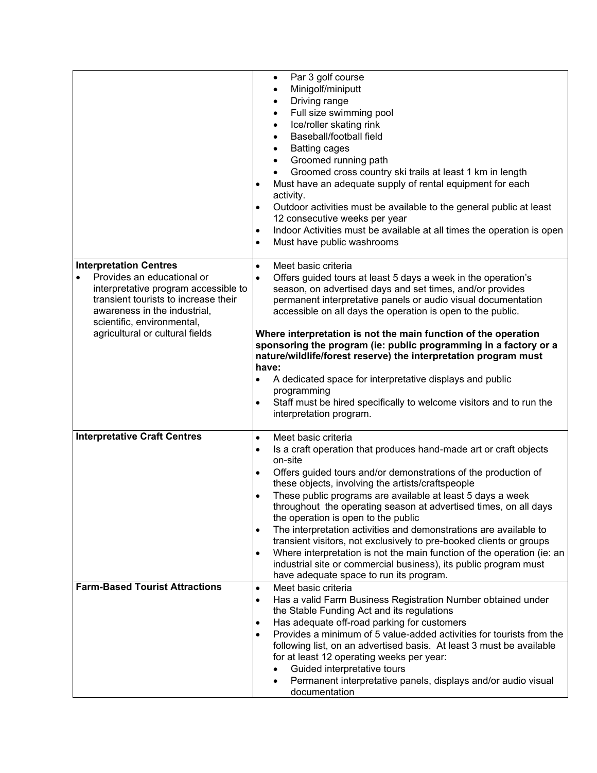|                                                                                                                                                                                                                                                           | Par 3 golf course<br>$\bullet$<br>Minigolf/miniputt<br>$\bullet$<br>Driving range<br>Full size swimming pool<br>$\bullet$<br>Ice/roller skating rink<br>$\bullet$<br>Baseball/football field<br>$\bullet$<br><b>Batting cages</b><br>Groomed running path<br>$\bullet$<br>Groomed cross country ski trails at least 1 km in length<br>Must have an adequate supply of rental equipment for each<br>$\bullet$<br>activity.<br>Outdoor activities must be available to the general public at least<br>$\bullet$<br>12 consecutive weeks per year<br>Indoor Activities must be available at all times the operation is open<br>$\bullet$<br>Must have public washrooms<br>$\bullet$                                                                                                             |
|-----------------------------------------------------------------------------------------------------------------------------------------------------------------------------------------------------------------------------------------------------------|----------------------------------------------------------------------------------------------------------------------------------------------------------------------------------------------------------------------------------------------------------------------------------------------------------------------------------------------------------------------------------------------------------------------------------------------------------------------------------------------------------------------------------------------------------------------------------------------------------------------------------------------------------------------------------------------------------------------------------------------------------------------------------------------|
| <b>Interpretation Centres</b><br>Provides an educational or<br>$\bullet$<br>interpretative program accessible to<br>transient tourists to increase their<br>awareness in the industrial,<br>scientific, environmental,<br>agricultural or cultural fields | Meet basic criteria<br>$\bullet$<br>Offers guided tours at least 5 days a week in the operation's<br>$\bullet$<br>season, on advertised days and set times, and/or provides<br>permanent interpretative panels or audio visual documentation<br>accessible on all days the operation is open to the public.<br>Where interpretation is not the main function of the operation<br>sponsoring the program (ie: public programming in a factory or a<br>nature/wildlife/forest reserve) the interpretation program must<br>have:<br>A dedicated space for interpretative displays and public<br>$\bullet$                                                                                                                                                                                       |
|                                                                                                                                                                                                                                                           | programming<br>Staff must be hired specifically to welcome visitors and to run the<br>interpretation program.                                                                                                                                                                                                                                                                                                                                                                                                                                                                                                                                                                                                                                                                                |
| <b>Interpretative Craft Centres</b>                                                                                                                                                                                                                       | Meet basic criteria<br>$\bullet$<br>Is a craft operation that produces hand-made art or craft objects<br>$\bullet$<br>on-site<br>Offers guided tours and/or demonstrations of the production of<br>these objects, involving the artists/craftspeople<br>These public programs are available at least 5 days a week<br>throughout the operating season at advertised times, on all days<br>the operation is open to the public<br>The interpretation activities and demonstrations are available to<br>$\bullet$<br>transient visitors, not exclusively to pre-booked clients or groups<br>Where interpretation is not the main function of the operation (ie: an<br>$\bullet$<br>industrial site or commercial business), its public program must<br>have adequate space to run its program. |
| <b>Farm-Based Tourist Attractions</b>                                                                                                                                                                                                                     | Meet basic criteria<br>$\bullet$<br>Has a valid Farm Business Registration Number obtained under<br>$\bullet$<br>the Stable Funding Act and its regulations<br>Has adequate off-road parking for customers<br>$\bullet$<br>Provides a minimum of 5 value-added activities for tourists from the<br>$\bullet$<br>following list, on an advertised basis. At least 3 must be available<br>for at least 12 operating weeks per year:<br>Guided interpretative tours<br>Permanent interpretative panels, displays and/or audio visual<br>documentation                                                                                                                                                                                                                                           |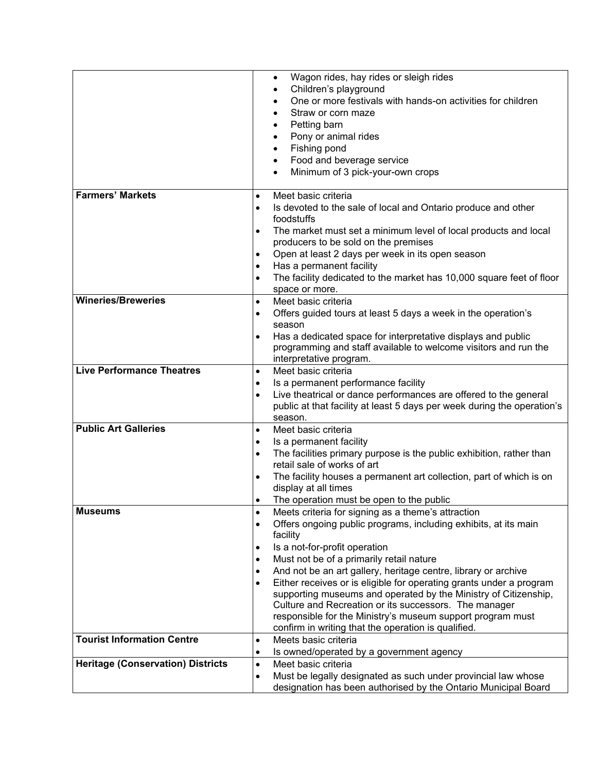|                                          | Wagon rides, hay rides or sleigh rides<br>$\bullet$<br>Children's playground<br>One or more festivals with hands-on activities for children<br>Straw or corn maze<br>Petting barn<br>Pony or animal rides<br>Fishing pond<br>Food and beverage service<br>Minimum of 3 pick-your-own crops |
|------------------------------------------|--------------------------------------------------------------------------------------------------------------------------------------------------------------------------------------------------------------------------------------------------------------------------------------------|
| <b>Farmers' Markets</b>                  | Meet basic criteria<br>$\bullet$                                                                                                                                                                                                                                                           |
|                                          | Is devoted to the sale of local and Ontario produce and other<br>$\bullet$<br>foodstuffs                                                                                                                                                                                                   |
|                                          | The market must set a minimum level of local products and local<br>$\bullet$<br>producers to be sold on the premises                                                                                                                                                                       |
|                                          | Open at least 2 days per week in its open season<br>$\bullet$                                                                                                                                                                                                                              |
|                                          | Has a permanent facility<br>$\bullet$<br>The facility dedicated to the market has 10,000 square feet of floor<br>$\bullet$                                                                                                                                                                 |
|                                          | space or more.                                                                                                                                                                                                                                                                             |
| <b>Wineries/Breweries</b>                | Meet basic criteria<br>$\bullet$                                                                                                                                                                                                                                                           |
|                                          | Offers guided tours at least 5 days a week in the operation's<br>$\bullet$                                                                                                                                                                                                                 |
|                                          | season<br>Has a dedicated space for interpretative displays and public<br>$\bullet$                                                                                                                                                                                                        |
|                                          | programming and staff available to welcome visitors and run the<br>interpretative program.                                                                                                                                                                                                 |
| <b>Live Performance Theatres</b>         | Meet basic criteria<br>$\bullet$                                                                                                                                                                                                                                                           |
|                                          | Is a permanent performance facility<br>$\bullet$                                                                                                                                                                                                                                           |
|                                          | Live theatrical or dance performances are offered to the general<br>$\bullet$<br>public at that facility at least 5 days per week during the operation's<br>season.                                                                                                                        |
| <b>Public Art Galleries</b>              | Meet basic criteria<br>$\bullet$                                                                                                                                                                                                                                                           |
|                                          | Is a permanent facility<br>$\bullet$<br>The facilities primary purpose is the public exhibition, rather than<br>$\bullet$                                                                                                                                                                  |
|                                          | retail sale of works of art                                                                                                                                                                                                                                                                |
|                                          | The facility houses a permanent art collection, part of which is on<br>display at all times                                                                                                                                                                                                |
| <b>Museums</b>                           | The operation must be open to the public                                                                                                                                                                                                                                                   |
|                                          | Meets criteria for signing as a theme's attraction<br>٠<br>Offers ongoing public programs, including exhibits, at its main<br>٠                                                                                                                                                            |
|                                          | facility                                                                                                                                                                                                                                                                                   |
|                                          | Is a not-for-profit operation<br>$\bullet$                                                                                                                                                                                                                                                 |
|                                          | Must not be of a primarily retail nature<br>$\bullet$<br>And not be an art gallery, heritage centre, library or archive<br>$\bullet$                                                                                                                                                       |
|                                          | Either receives or is eligible for operating grants under a program<br>$\bullet$                                                                                                                                                                                                           |
|                                          | supporting museums and operated by the Ministry of Citizenship,                                                                                                                                                                                                                            |
|                                          | Culture and Recreation or its successors. The manager<br>responsible for the Ministry's museum support program must                                                                                                                                                                        |
|                                          | confirm in writing that the operation is qualified.                                                                                                                                                                                                                                        |
| <b>Tourist Information Centre</b>        | Meets basic criteria<br>$\bullet$                                                                                                                                                                                                                                                          |
|                                          | Is owned/operated by a government agency<br>$\bullet$                                                                                                                                                                                                                                      |
| <b>Heritage (Conservation) Districts</b> | Meet basic criteria<br>$\bullet$<br>Must be legally designated as such under provincial law whose                                                                                                                                                                                          |
|                                          | $\bullet$<br>designation has been authorised by the Ontario Municipal Board                                                                                                                                                                                                                |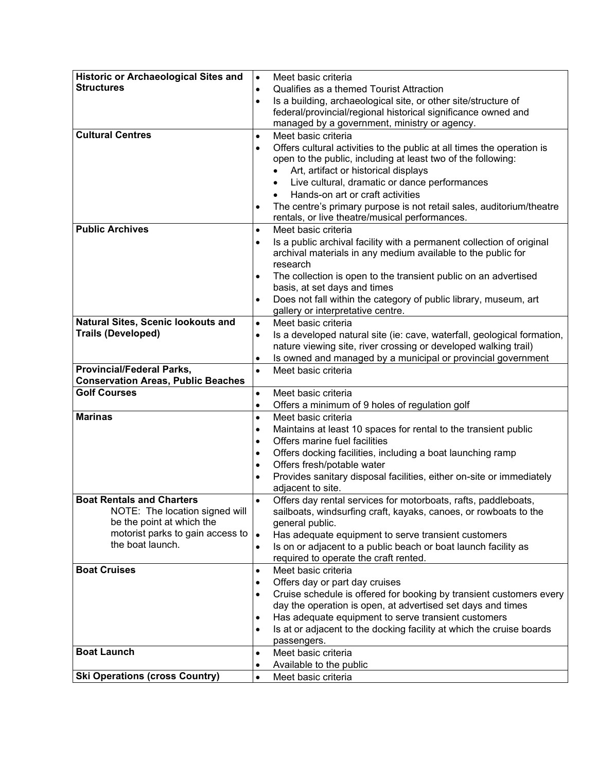| <b>Historic or Archaeological Sites and</b> | Meet basic criteria<br>$\bullet$                                                                       |
|---------------------------------------------|--------------------------------------------------------------------------------------------------------|
| <b>Structures</b>                           | Qualifies as a themed Tourist Attraction<br>$\bullet$                                                  |
|                                             | Is a building, archaeological site, or other site/structure of<br>$\bullet$                            |
|                                             | federal/provincial/regional historical significance owned and                                          |
|                                             | managed by a government, ministry or agency.                                                           |
| <b>Cultural Centres</b>                     | Meet basic criteria<br>$\bullet$                                                                       |
|                                             | Offers cultural activities to the public at all times the operation is<br>$\bullet$                    |
|                                             | open to the public, including at least two of the following:                                           |
|                                             | Art, artifact or historical displays                                                                   |
|                                             | Live cultural, dramatic or dance performances<br>$\bullet$                                             |
|                                             | Hands-on art or craft activities                                                                       |
|                                             | The centre's primary purpose is not retail sales, auditorium/theatre<br>$\bullet$                      |
|                                             | rentals, or live theatre/musical performances.                                                         |
| <b>Public Archives</b>                      | Meet basic criteria<br>$\bullet$                                                                       |
|                                             | Is a public archival facility with a permanent collection of original<br>$\bullet$                     |
|                                             | archival materials in any medium available to the public for<br>research                               |
|                                             | The collection is open to the transient public on an advertised<br>$\bullet$                           |
|                                             | basis, at set days and times                                                                           |
|                                             | Does not fall within the category of public library, museum, art<br>$\bullet$                          |
|                                             | gallery or interpretative centre.                                                                      |
| Natural Sites, Scenic lookouts and          | Meet basic criteria<br>$\bullet$                                                                       |
| <b>Trails (Developed)</b>                   | Is a developed natural site (ie: cave, waterfall, geological formation,<br>$\bullet$                   |
|                                             | nature viewing site, river crossing or developed walking trail)                                        |
|                                             | Is owned and managed by a municipal or provincial government<br>$\bullet$                              |
| <b>Provincial/Federal Parks,</b>            | Meet basic criteria<br>$\bullet$                                                                       |
| <b>Conservation Areas, Public Beaches</b>   |                                                                                                        |
| <b>Golf Courses</b>                         | Meet basic criteria<br>$\bullet$                                                                       |
|                                             | Offers a minimum of 9 holes of regulation golf<br>$\bullet$                                            |
| <b>Marinas</b>                              | Meet basic criteria<br>$\bullet$                                                                       |
|                                             | Maintains at least 10 spaces for rental to the transient public<br>$\bullet$                           |
|                                             | Offers marine fuel facilities<br>$\bullet$                                                             |
|                                             | Offers docking facilities, including a boat launching ramp<br>$\bullet$                                |
|                                             | Offers fresh/potable water<br>$\bullet$                                                                |
|                                             | Provides sanitary disposal facilities, either on-site or immediately<br>$\bullet$<br>adjacent to site. |
| <b>Boat Rentals and Charters</b>            | Offers day rental services for motorboats, rafts, paddleboats,<br>$\bullet$                            |
| NOTE: The location signed will              | sailboats, windsurfing craft, kayaks, canoes, or rowboats to the                                       |
| be the point at which the                   | general public.                                                                                        |
| motorist parks to gain access to            | Has adequate equipment to serve transient customers<br>$\bullet$                                       |
| the boat launch.                            | Is on or adjacent to a public beach or boat launch facility as<br>$\bullet$                            |
|                                             | required to operate the craft rented.                                                                  |
| <b>Boat Cruises</b>                         | Meet basic criteria<br>$\bullet$                                                                       |
|                                             | Offers day or part day cruises<br>$\bullet$                                                            |
|                                             | Cruise schedule is offered for booking by transient customers every<br>$\bullet$                       |
|                                             | day the operation is open, at advertised set days and times                                            |
|                                             | Has adequate equipment to serve transient customers<br>$\bullet$                                       |
|                                             | Is at or adjacent to the docking facility at which the cruise boards<br>$\bullet$                      |
|                                             | passengers.                                                                                            |
| <b>Boat Launch</b>                          | Meet basic criteria<br>$\bullet$                                                                       |
|                                             | Available to the public                                                                                |
| <b>Ski Operations (cross Country)</b>       | Meet basic criteria<br>$\bullet$                                                                       |